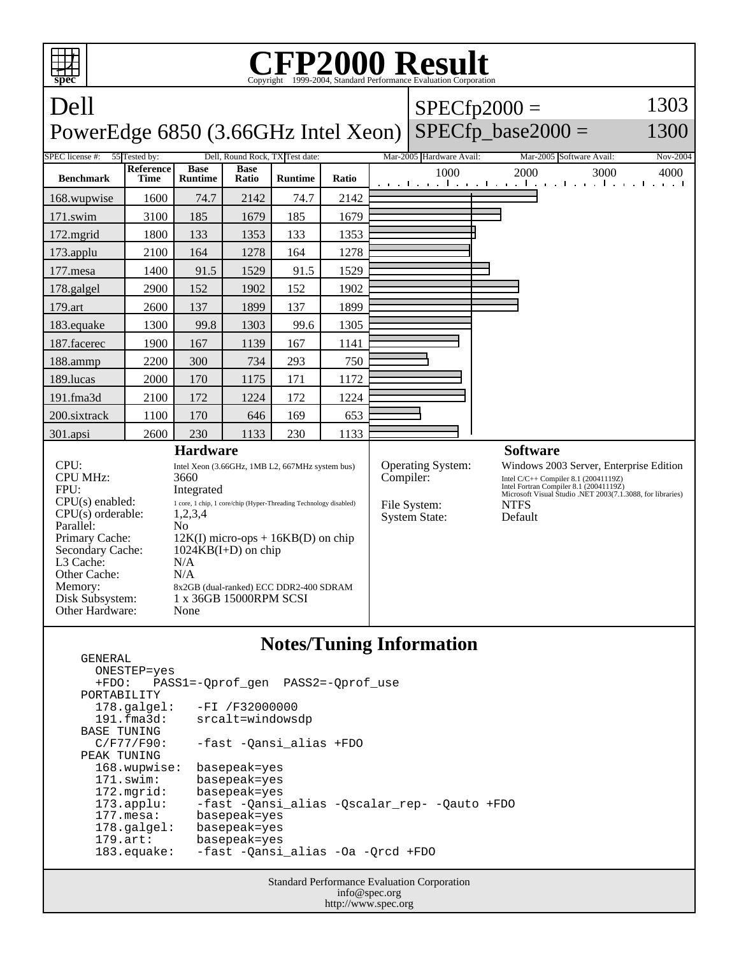

## **Notes/Tuning Information**

| GENERAL               |                                              |
|-----------------------|----------------------------------------------|
| ONESTEP=yes           |                                              |
|                       | +FDO: PASS1=-Oprof gen PASS2=-Oprof use      |
| PORTABILITY           |                                              |
| $178.\text{qalgel}$ : | $-FI / F32000000$                            |
| 191.fma3d:            | srcalt=windowsdp                             |
| BASE TUNING           |                                              |
| C/F77/F90:            | -fast -Oansi alias +FDO                      |
| PEAK TUNING           |                                              |
| 168.wupwise:          | basepeak=yes                                 |
| $171$ .swim:          | basepeak=yes                                 |
| $172.\text{mgrid}:$   | basepeak=yes                                 |
| $173.\text{applu}:$   | -fast -Qansi alias -Qscalar rep- -Qauto +FDO |
| $177$ . mesa:         | basepeak=yes                                 |
| $178.\text{qalgel}$ : | basepeak=yes                                 |
| $179.\arct:$          | basepeak=yes                                 |
| $183$ .equake:        | -fast -Oansi alias -Oa -Orcd +FDO            |
|                       |                                              |

Standard Performance Evaluation Corporation info@spec.org http://www.spec.org